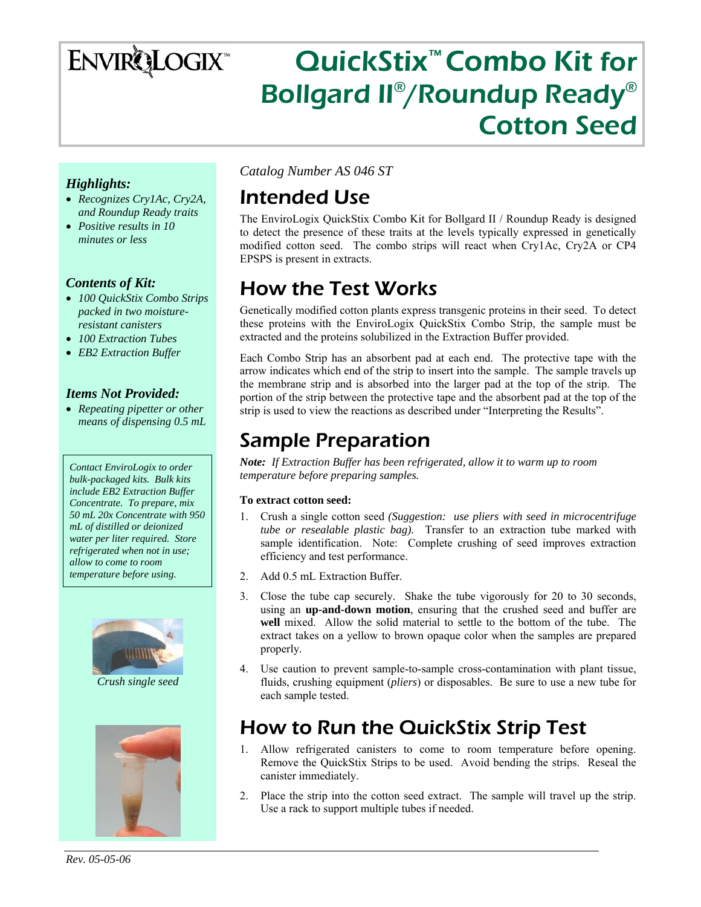# **ENVIRQLOGIX**

# QuickStix™ Combo Kit for Bollgard II®/Roundup Ready® Cotton Seed

### *Highlights:*

- *Recognizes Cry1Ac, Cry2A, and Roundup Ready traits*
- *Positive results in 10 minutes or less*

### *Contents of Kit:*

- *100 QuickStix Combo Strips packed in two moistureresistant canisters*
- *100 Extraction Tubes*
- *EB2 Extraction Buffer*

#### *Items Not Provided:*

• *Repeating pipetter or other means of dispensing 0.5 mL* 

*Contact EnviroLogix to order bulk-packaged kits. Bulk kits include EB2 Extraction Buffer Concentrate. To prepare, mix 50 mL 20x Concentrate with 950 mL of distilled or deionized water per liter required. Store refrigerated when not in use; allow to come to room temperature before using.* 



*Crush single seed* 



*Catalog Number AS 046 ST* 

### Intended Use

The EnviroLogix QuickStix Combo Kit for Bollgard II / Roundup Ready is designed to detect the presence of these traits at the levels typically expressed in genetically modified cotton seed. The combo strips will react when Cry1Ac, Cry2A or CP4 EPSPS is present in extracts.

# How the Test Works

Genetically modified cotton plants express transgenic proteins in their seed. To detect these proteins with the EnviroLogix QuickStix Combo Strip, the sample must be extracted and the proteins solubilized in the Extraction Buffer provided.

Each Combo Strip has an absorbent pad at each end. The protective tape with the arrow indicates which end of the strip to insert into the sample. The sample travels up the membrane strip and is absorbed into the larger pad at the top of the strip. The portion of the strip between the protective tape and the absorbent pad at the top of the strip is used to view the reactions as described under "Interpreting the Results".

## Sample Preparation

*Note: If Extraction Buffer has been refrigerated, allow it to warm up to room temperature before preparing samples.* 

#### **To extract cotton seed:**

- 1. Crush a single cotton seed *(Suggestion: use pliers with seed in microcentrifuge tube or resealable plastic bag).* Transfer to an extraction tube marked with sample identification. Note: Complete crushing of seed improves extraction efficiency and test performance.
- 2. Add 0.5 mL Extraction Buffer.
- 3. Close the tube cap securely. Shake the tube vigorously for 20 to 30 seconds, using an **up-and-down motion**, ensuring that the crushed seed and buffer are **well** mixed. Allow the solid material to settle to the bottom of the tube. The extract takes on a yellow to brown opaque color when the samples are prepared properly.
- 4. Use caution to prevent sample-to-sample cross-contamination with plant tissue, fluids, crushing equipment (*pliers*) or disposables. Be sure to use a new tube for each sample tested.

# How to Run the QuickStix Strip Test

- 1. Allow refrigerated canisters to come to room temperature before opening. Remove the QuickStix Strips to be used. Avoid bending the strips. Reseal the canister immediately.
- 2. Place the strip into the cotton seed extract. The sample will travel up the strip. Use a rack to support multiple tubes if needed.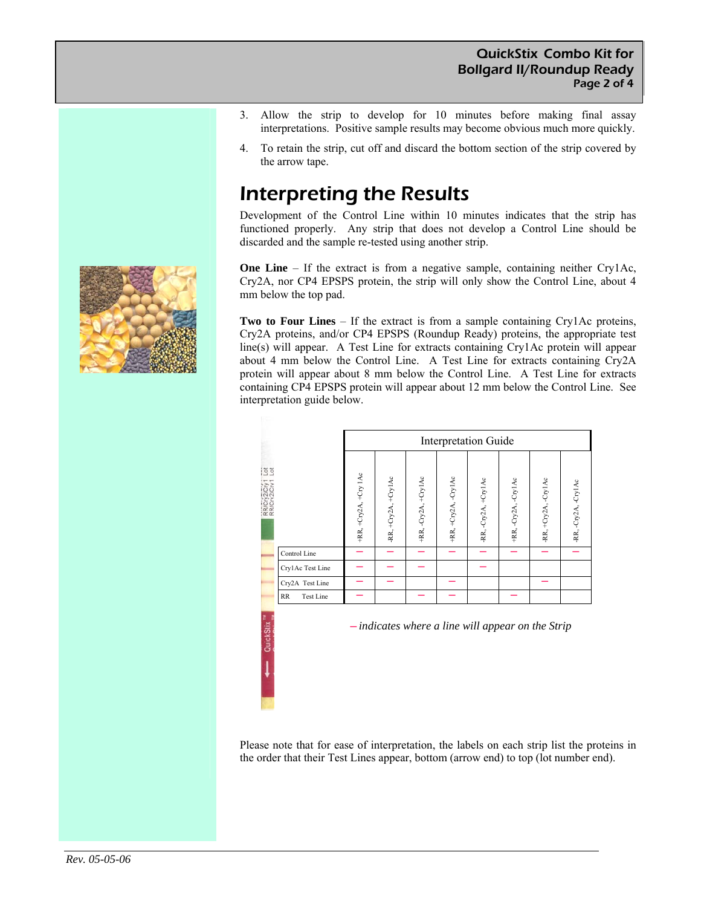- 3. Allow the strip to develop for 10 minutes before making final assay interpretations. Positive sample results may become obvious much more quickly.
- 4. To retain the strip, cut off and discard the bottom section of the strip covered by the arrow tape.

## Interpreting the Results

Development of the Control Line within 10 minutes indicates that the strip has functioned properly. Any strip that does not develop a Control Line should be discarded and the sample re-tested using another strip.

**One Line** – If the extract is from a negative sample, containing neither Cry1Ac, Cry2A, nor CP4 EPSPS protein, the strip will only show the Control Line, about 4 mm below the top pad.

**Two to Four Lines** – If the extract is from a sample containing Cry1Ac proteins, Cry2A proteins, and/or CP4 EPSPS (Roundup Ready) proteins, the appropriate test line(s) will appear. A Test Line for extracts containing Cry1Ac protein will appear about 4 mm below the Control Line. A Test Line for extracts containing Cry2A protein will appear about 8 mm below the Control Line. A Test Line for extracts containing CP4 EPSPS protein will appear about 12 mm below the Control Line. See interpretation guide below.

|                       |                        | <b>Interpretation Guide</b> |                      |                      |                      |                      |                      |                      |                      |
|-----------------------|------------------------|-----------------------------|----------------------|----------------------|----------------------|----------------------|----------------------|----------------------|----------------------|
| $rac{5}{2}$<br>RRICIV |                        | +RR, +Cry2A, +Cry 1Ac       | -RR, +Cry2A, +Cry1Ac | +RR, -Cry2A, +Cry1Ac | +RR, +Cry2A, -Cry1Ac | -RR, -Cry2A, +Cry1Ac | +RR, -Cry2A, -Cry1Ac | -RR, +Cry2A, -Cry1Ac | -RR, -Cry2A, -Cry1Ac |
|                       | Control Line           |                             |                      |                      |                      |                      |                      |                      |                      |
|                       | Cry1Ac Test Line       |                             |                      |                      |                      |                      |                      |                      |                      |
|                       | Cry2A Test Line        |                             |                      |                      |                      |                      |                      |                      |                      |
|                       | RR<br><b>Test Line</b> |                             |                      |                      |                      |                      |                      |                      |                      |

─ *indicates where a line will appear on the Strip*

Please note that for ease of interpretation, the labels on each strip list the proteins in the order that their Test Lines appear, bottom (arrow end) to top (lot number end).

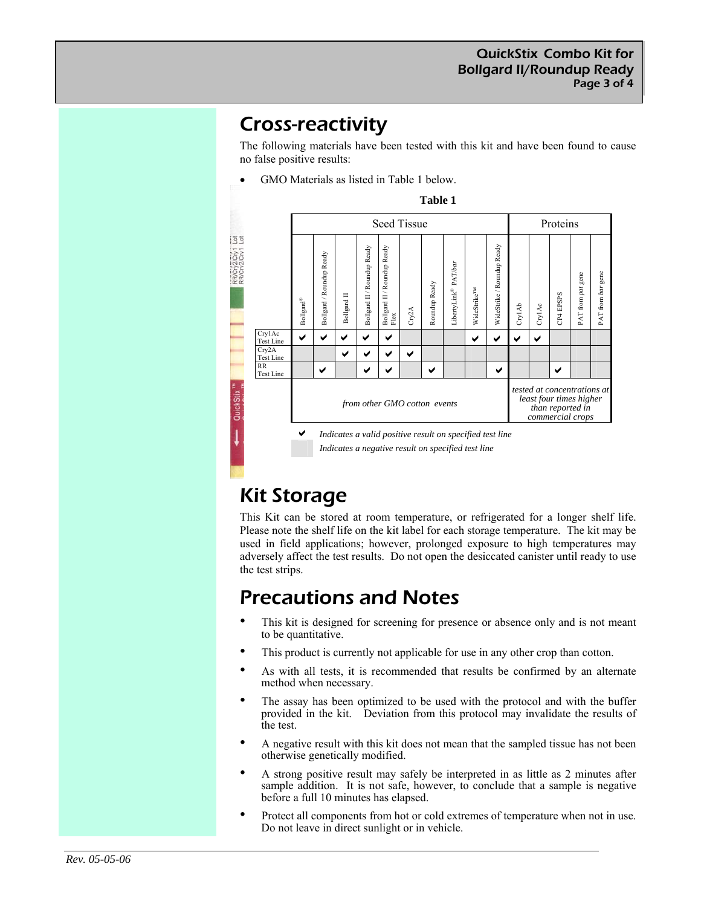### Cross-reactivity

The following materials have been tested with this kit and have been found to cause no false positive results:

• GMO Materials as listed in Table 1 below.



# Kit Storage

This Kit can be stored at room temperature, or refrigerated for a longer shelf life. Please note the shelf life on the kit label for each storage temperature. The kit may be used in field applications; however, prolonged exposure to high temperatures may adversely affect the test results. Do not open the desiccated canister until ready to use the test strips.

### Precautions and Notes

- This kit is designed for screening for presence or absence only and is not meant to be quantitative.
- This product is currently not applicable for use in any other crop than cotton.
- As with all tests, it is recommended that results be confirmed by an alternate method when necessary.
- The assay has been optimized to be used with the protocol and with the buffer provided in the kit. Deviation from this protocol may invalidate the results of the test.
- A negative result with this kit does not mean that the sampled tissue has not been otherwise genetically modified.
- A strong positive result may safely be interpreted in as little as 2 minutes after sample addition. It is not safe, however, to conclude that a sample is negative before a full 10 minutes has elapsed.
- Protect all components from hot or cold extremes of temperature when not in use. Do not leave in direct sunlight or in vehicle.